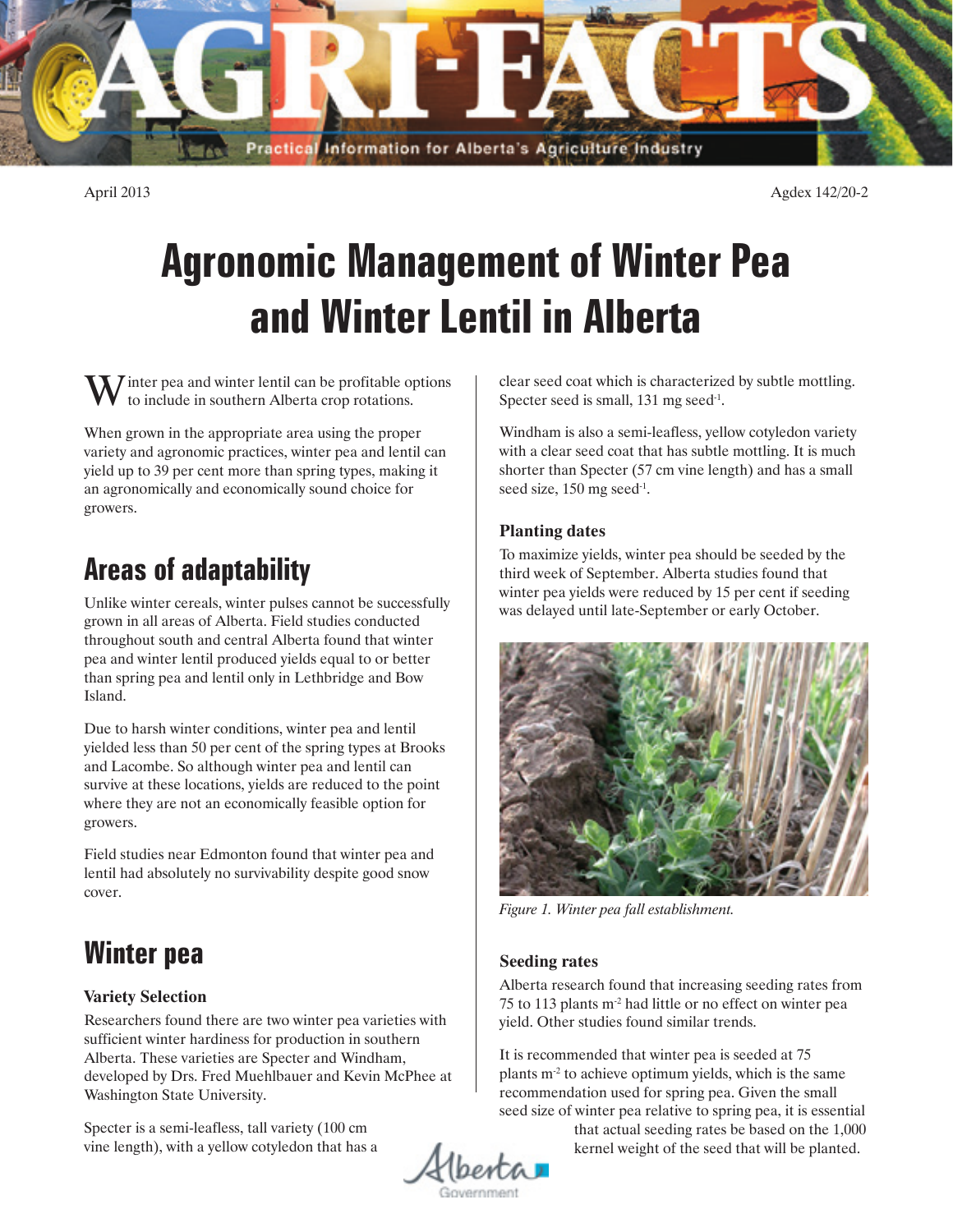

April 2013 Agdex 142/20-2

# **Agronomic Management of Winter Pea and Winter Lentil in Alberta**

 $\overline{I}$  inter pea and winter lentil can be profitable options to include in southern Alberta crop rotations.

When grown in the appropriate area using the proper variety and agronomic practices, winter pea and lentil can yield up to 39 per cent more than spring types, making it an agronomically and economically sound choice for growers.

# **Areas of adaptability**

Unlike winter cereals, winter pulses cannot be successfully grown in all areas of Alberta. Field studies conducted throughout south and central Alberta found that winter pea and winter lentil produced yields equal to or better than spring pea and lentil only in Lethbridge and Bow Island.

Due to harsh winter conditions, winter pea and lentil yielded less than 50 per cent of the spring types at Brooks and Lacombe. So although winter pea and lentil can survive at these locations, yields are reduced to the point where they are not an economically feasible option for growers.

Field studies near Edmonton found that winter pea and lentil had absolutely no survivability despite good snow cover.

# **Winter pea**

### **Variety Selection**

Researchers found there are two winter pea varieties with sufficient winter hardiness for production in southern Alberta. These varieties are Specter and Windham, developed by Drs. Fred Muehlbauer and Kevin McPhee at Washington State University.

Specter is a semi-leafless, tall variety (100 cm vine length), with a yellow cotyledon that has a clear seed coat which is characterized by subtle mottling. Specter seed is small, 131 mg seed<sup>-1</sup>.

Windham is also a semi-leafless, yellow cotyledon variety with a clear seed coat that has subtle mottling. It is much shorter than Specter (57 cm vine length) and has a small seed size, 150 mg seed<sup>-1</sup>.

### **Planting dates**

To maximize yields, winter pea should be seeded by the third week of September. Alberta studies found that winter pea yields were reduced by 15 per cent if seeding was delayed until late-September or early October.



*Figure 1. Winter pea fall establishment.*

### **Seeding rates**

Alberta research found that increasing seeding rates from 75 to 113 plants m-2 had little or no effect on winter pea yield. Other studies found similar trends.

It is recommended that winter pea is seeded at 75 plants  $m<sup>2</sup>$  to achieve optimum yields, which is the same recommendation used for spring pea. Given the small seed size of winter pea relative to spring pea, it is essential

that actual seeding rates be based on the 1,000 kernel weight of the seed that will be planted.

1berta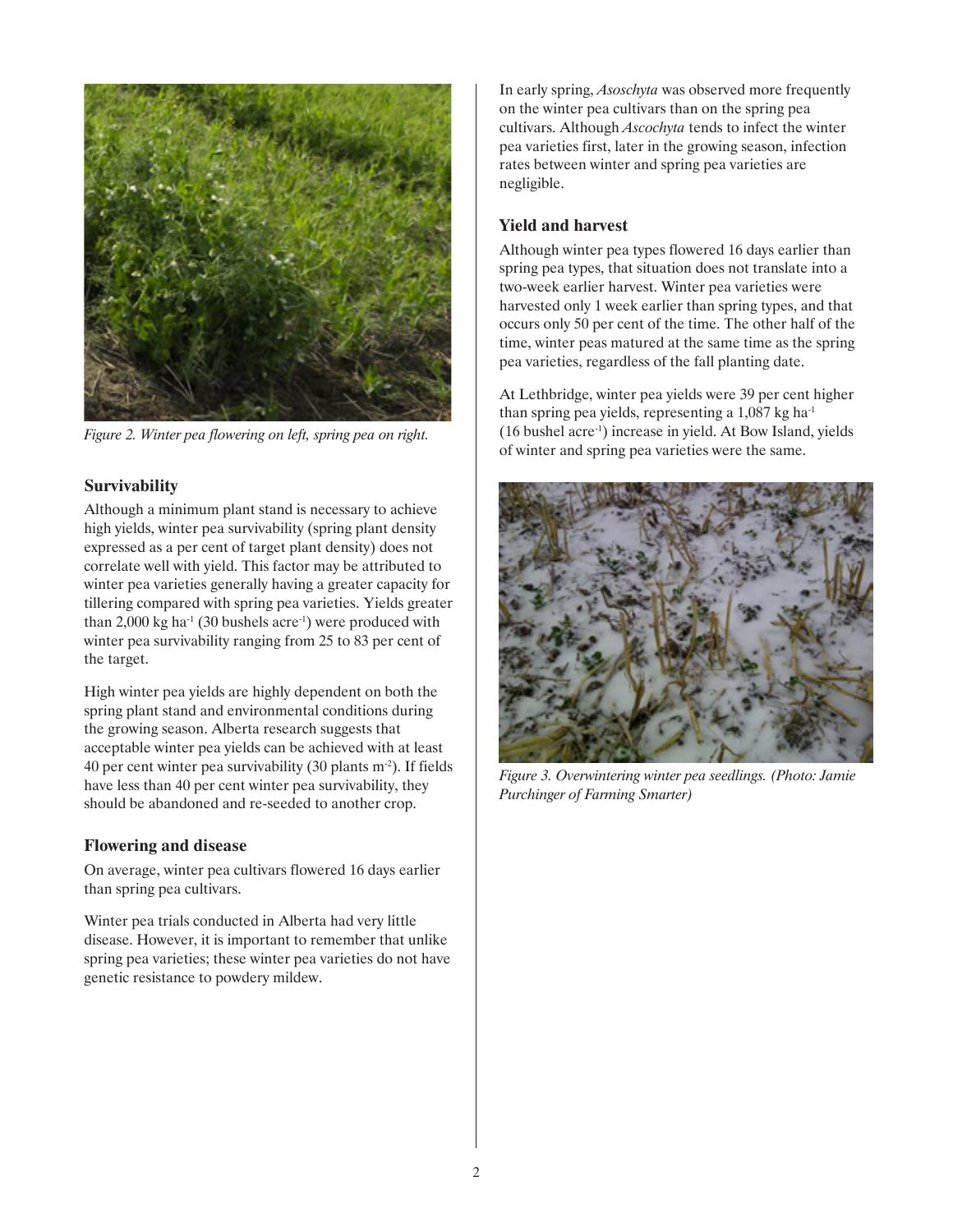

*Figure 2. Winter pea flowering on left, spring pea on right.*

#### **Survivability**

Although a minimum plant stand is necessary to achieve high yields, winter pea survivability (spring plant density expressed as a per cent of target plant density) does not correlate well with yield. This factor may be attributed to winter pea varieties generally having a greater capacity for tillering compared with spring pea varieties. Yields greater than 2,000 kg ha<sup>-1</sup> (30 bushels acre<sup>-1</sup>) were produced with winter pea survivability ranging from 25 to 83 per cent of the target.

High winter pea yields are highly dependent on both the spring plant stand and environmental conditions during the growing season. Alberta research suggests that acceptable winter pea yields can be achieved with at least 40 per cent winter pea survivability  $(30 \text{ plants m}^2)$ . If fields have less than 40 per cent winter pea survivability, they should be abandoned and re-seeded to another crop.

#### **Flowering and disease**

On average, winter pea cultivars flowered 16 days earlier than spring pea cultivars.

Winter pea trials conducted in Alberta had very little disease. However, it is important to remember that unlike spring pea varieties; these winter pea varieties do not have genetic resistance to powdery mildew.

In early spring, *Asoschyta* was observed more frequently on the winter pea cultivars than on the spring pea cultivars. Although *Ascochyta* tends to infect the winter pea varieties first, later in the growing season, infection rates between winter and spring pea varieties are negligible.

#### **Yield and harvest**

Although winter pea types flowered 16 days earlier than spring pea types, that situation does not translate into a two-week earlier harvest. Winter pea varieties were harvested only 1 week earlier than spring types, and that occurs only 50 per cent of the time. The other half of the time, winter peas matured at the same time as the spring pea varieties, regardless of the fall planting date.

At Lethbridge, winter pea yields were 39 per cent higher than spring pea yields, representing a  $1,087$  kg ha<sup>-1</sup> (16 bushel acre-1) increase in yield. At Bow Island, yields of winter and spring pea varieties were the same.



*Figure 3. Overwintering winter pea seedlings. (Photo: Jamie Purchinger of Farming Smarter)*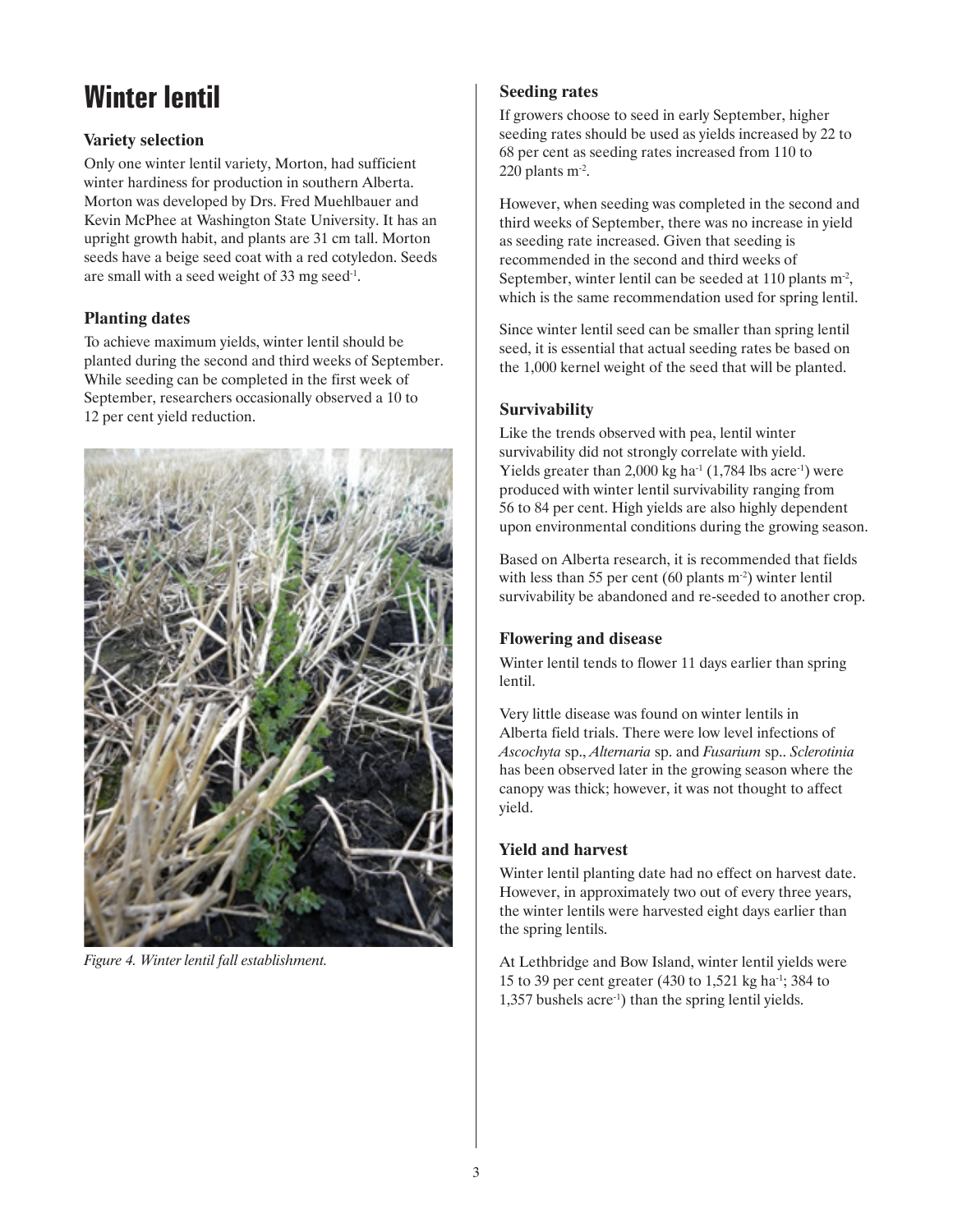# **Winter lentil**

### **Variety selection**

Only one winter lentil variety, Morton, had sufficient winter hardiness for production in southern Alberta. Morton was developed by Drs. Fred Muehlbauer and Kevin McPhee at Washington State University. It has an upright growth habit, and plants are 31 cm tall. Morton seeds have a beige seed coat with a red cotyledon. Seeds are small with a seed weight of 33 mg seed-1.

### **Planting dates**

To achieve maximum yields, winter lentil should be planted during the second and third weeks of September. While seeding can be completed in the first week of September, researchers occasionally observed a 10 to 12 per cent yield reduction.



*Figure 4. Winter lentil fall establishment.*

### **Seeding rates**

If growers choose to seed in early September, higher seeding rates should be used as yields increased by 22 to 68 per cent as seeding rates increased from 110 to 220 plants m-2.

However, when seeding was completed in the second and third weeks of September, there was no increase in yield as seeding rate increased. Given that seeding is recommended in the second and third weeks of September, winter lentil can be seeded at 110 plants  $m<sup>2</sup>$ , which is the same recommendation used for spring lentil.

Since winter lentil seed can be smaller than spring lentil seed, it is essential that actual seeding rates be based on the 1,000 kernel weight of the seed that will be planted.

### **Survivability**

Like the trends observed with pea, lentil winter survivability did not strongly correlate with yield. Yields greater than 2,000 kg ha<sup>-1</sup> (1,784 lbs acre<sup>-1</sup>) were produced with winter lentil survivability ranging from 56 to 84 per cent. High yields are also highly dependent upon environmental conditions during the growing season.

Based on Alberta research, it is recommended that fields with less than 55 per cent (60 plants  $m<sup>2</sup>$ ) winter lentil survivability be abandoned and re-seeded to another crop.

### **Flowering and disease**

Winter lentil tends to flower 11 days earlier than spring lentil.

Very little disease was found on winter lentils in Alberta field trials. There were low level infections of *Ascochyta* sp., *Alternaria* sp. and *Fusarium* sp.. *Sclerotinia* has been observed later in the growing season where the canopy was thick; however, it was not thought to affect yield.

### **Yield and harvest**

Winter lentil planting date had no effect on harvest date. However, in approximately two out of every three years, the winter lentils were harvested eight days earlier than the spring lentils.

At Lethbridge and Bow Island, winter lentil yields were 15 to 39 per cent greater (430 to 1,521 kg ha-1; 384 to 1,357 bushels acre-1) than the spring lentil yields.